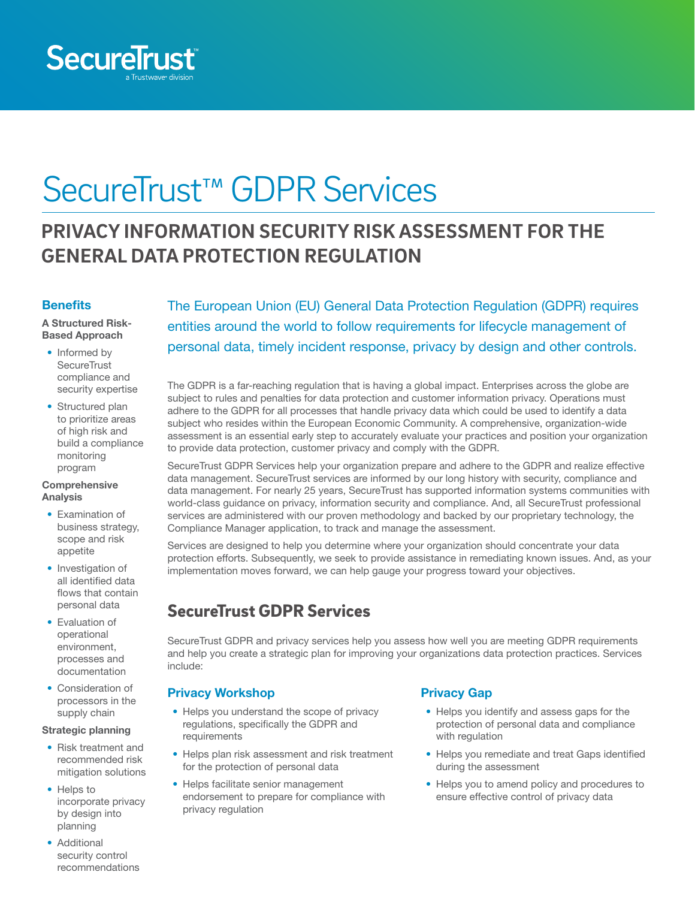

# SecureTrust™ GDPR Services

## **PRIVACY INFORMATION SECURITY RISK ASSESSMENT FOR THE GENERAL DATA PROTECTION REGULATION**

#### **Benefits**

A Structured Risk-Based Approach

- Informed by **SecureTrust** compliance and security expertise
- Structured plan to prioritize areas of high risk and build a compliance monitoring program

#### **Comprehensive** Analysis

- Examination of business strategy, scope and risk appetite
- Investigation of all identified data flows that contain personal data
- Evaluation of operational environment, processes and documentation
- Consideration of processors in the supply chain

#### Strategic planning

- Risk treatment and recommended risk mitigation solutions
- Helps to incorporate privacy by design into planning
- Additional security control recommendations

The European Union (EU) General Data Protection Regulation (GDPR) requires entities around the world to follow requirements for lifecycle management of personal data, timely incident response, privacy by design and other controls.

The GDPR is a far-reaching regulation that is having a global impact. Enterprises across the globe are subject to rules and penalties for data protection and customer information privacy. Operations must adhere to the GDPR for all processes that handle privacy data which could be used to identify a data subject who resides within the European Economic Community. A comprehensive, organization-wide assessment is an essential early step to accurately evaluate your practices and position your organization to provide data protection, customer privacy and comply with the GDPR.

SecureTrust GDPR Services help your organization prepare and adhere to the GDPR and realize effective data management. SecureTrust services are informed by our long history with security, compliance and data management. For nearly 25 years, SecureTrust has supported information systems communities with world-class guidance on privacy, information security and compliance. And, all SecureTrust professional services are administered with our proven methodology and backed by our proprietary technology, the Compliance Manager application, to track and manage the assessment.

Services are designed to help you determine where your organization should concentrate your data protection efforts. Subsequently, we seek to provide assistance in remediating known issues. And, as your implementation moves forward, we can help gauge your progress toward your objectives.

## SecureTrust GDPR Services

SecureTrust GDPR and privacy services help you assess how well you are meeting GDPR requirements and help you create a strategic plan for improving your organizations data protection practices. Services include:

#### Privacy Workshop

- Helps you understand the scope of privacy regulations, specifically the GDPR and requirements
- Helps plan risk assessment and risk treatment for the protection of personal data
- Helps facilitate senior management endorsement to prepare for compliance with privacy regulation

#### Privacy Gap

- Helps you identify and assess gaps for the protection of personal data and compliance with regulation
- Helps you remediate and treat Gaps identified during the assessment
- Helps you to amend policy and procedures to ensure effective control of privacy data